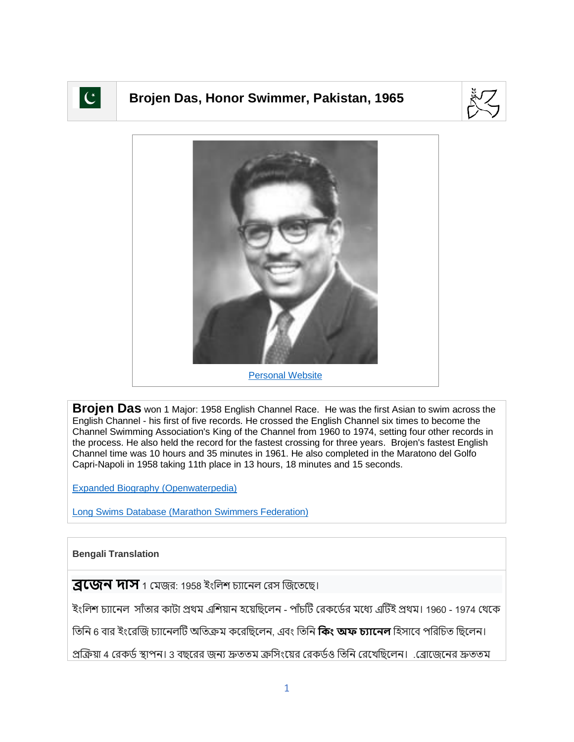

## **Brojen Das, Honor Swimmer, Pakistan, 1965**





**Brojen Das** won 1 Major: 1958 English Channel Race. He was the first Asian to swim across the English Channel - his first of five records. He crossed the English Channel six times to become the Channel Swimming Association's King of the Channel from 1960 to 1974, setting four other records in the process. He also held the record for the fastest crossing for three years. Brojen's fastest English Channel time was 10 hours and 35 minutes in 1961. He also completed in the Maratono del Golfo Capri-Napoli in 1958 taking 11th place in 13 hours, 18 minutes and 15 seconds.

[Expanded Biography](https://www.openwaterpedia.com/index.php?title=Brojen_Das) (Openwaterpedia)

Long Swims Database [\(Marathon Swimmers Federation\)](https://db.marathonswimmers.org/p/brojen-das/)

## **Bengali Translation**

**ব্রজেন দাস** 1 মেজর: 1958 ইংলিশ চ্যানেল রেস জিতেছে।

ইংলিশ চ্যানেল সাঁতার কাটা প্রথম এশিয়ান হয়েছিলেন - পাঁচটি রেকর্ডের মধ্যে এটিই প্রথম। 1960 - 1974 থেকে

জিনি 6 বার ইংরেজি চ্যানেলটি অতিক্রম করেছিলেন, এবং তিনি **কিং অফ চ্যানেল** হিসাবে পরিচিত ছিলেন।

প্রক্রিয়া 4 রেকর্ড স্থাপন। 3 বছরের জন্য দ্রুততম ক্রসিংয়ের রেকর্ডও তিনি রেখেছিলেন। .ব্রোজেনের দ্রুততম